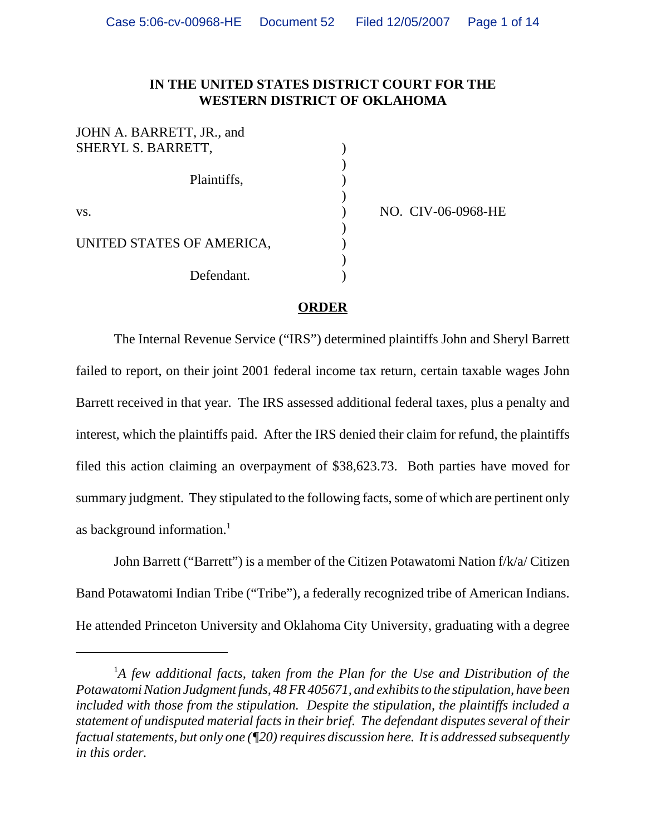## **IN THE UNITED STATES DISTRICT COURT FOR THE WESTERN DISTRICT OF OKLAHOMA**

| JOHN A. BARRETT, JR., and |  |
|---------------------------|--|
| SHERYL S. BARRETT,        |  |
|                           |  |
| Plaintiffs,               |  |
|                           |  |
| VS.                       |  |
|                           |  |
| UNITED STATES OF AMERICA, |  |
|                           |  |
| Defendant.                |  |

NO. CIV-06-0968-HE

## **ORDER**

The Internal Revenue Service ("IRS") determined plaintiffs John and Sheryl Barrett failed to report, on their joint 2001 federal income tax return, certain taxable wages John Barrett received in that year. The IRS assessed additional federal taxes, plus a penalty and interest, which the plaintiffs paid. After the IRS denied their claim for refund, the plaintiffs filed this action claiming an overpayment of \$38,623.73. Both parties have moved for summary judgment. They stipulated to the following facts, some of which are pertinent only as background information.<sup>1</sup>

John Barrett ("Barrett") is a member of the Citizen Potawatomi Nation f/k/a/ Citizen Band Potawatomi Indian Tribe ("Tribe"), a federally recognized tribe of American Indians. He attended Princeton University and Oklahoma City University, graduating with a degree

<sup>&</sup>lt;sup>1</sup>A few additional facts, taken from the Plan for the Use and Distribution of the *Potawatomi Nation Judgment funds, 48 FR 405671, and exhibits to the stipulation, have been included with those from the stipulation. Despite the stipulation, the plaintiffs included a statement of undisputed material facts in their brief. The defendant disputes several of their factual statements, but only one (¶20) requires discussion here. It is addressed subsequently in this order.*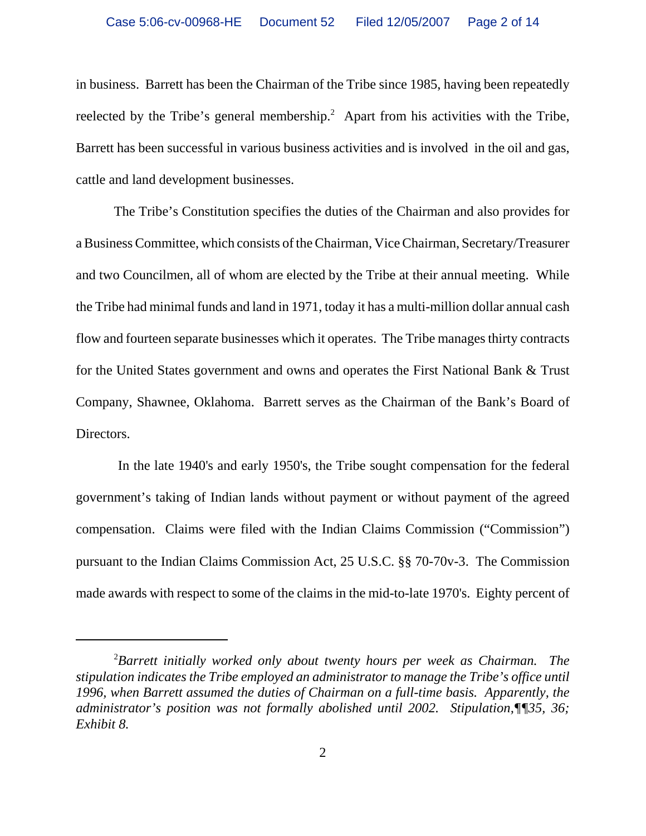in business. Barrett has been the Chairman of the Tribe since 1985, having been repeatedly reelected by the Tribe's general membership.<sup>2</sup> Apart from his activities with the Tribe, Barrett has been successful in various business activities and is involved in the oil and gas, cattle and land development businesses.

The Tribe's Constitution specifies the duties of the Chairman and also provides for a Business Committee, which consists of the Chairman, Vice Chairman, Secretary/Treasurer and two Councilmen, all of whom are elected by the Tribe at their annual meeting. While the Tribe had minimal funds and land in 1971, today it has a multi-million dollar annual cash flow and fourteen separate businesses which it operates. The Tribe manages thirty contracts for the United States government and owns and operates the First National Bank & Trust Company, Shawnee, Oklahoma. Barrett serves as the Chairman of the Bank's Board of Directors.

 In the late 1940's and early 1950's, the Tribe sought compensation for the federal government's taking of Indian lands without payment or without payment of the agreed compensation. Claims were filed with the Indian Claims Commission ("Commission") pursuant to the Indian Claims Commission Act, 25 U.S.C. §§ 70-70v-3. The Commission made awards with respect to some of the claims in the mid-to-late 1970's. Eighty percent of

<sup>2</sup> *Barrett initially worked only about twenty hours per week as Chairman. The stipulation indicates the Tribe employed an administrator to manage the Tribe's office until 1996, when Barrett assumed the duties of Chairman on a full-time basis. Apparently, the administrator's position was not formally abolished until 2002. Stipulation,¶¶35, 36; Exhibit 8.*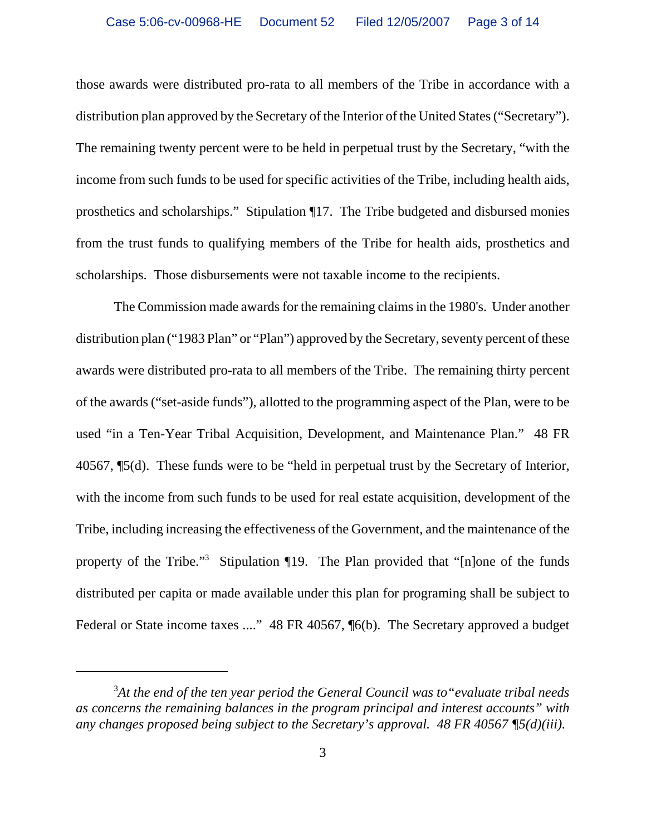those awards were distributed pro-rata to all members of the Tribe in accordance with a distribution plan approved by the Secretary of the Interior of the United States ("Secretary"). The remaining twenty percent were to be held in perpetual trust by the Secretary, "with the income from such funds to be used for specific activities of the Tribe, including health aids, prosthetics and scholarships." Stipulation ¶17. The Tribe budgeted and disbursed monies from the trust funds to qualifying members of the Tribe for health aids, prosthetics and scholarships. Those disbursements were not taxable income to the recipients.

The Commission made awards for the remaining claims in the 1980's. Under another distribution plan ("1983 Plan" or "Plan") approved by the Secretary, seventy percent of these awards were distributed pro-rata to all members of the Tribe. The remaining thirty percent of the awards ("set-aside funds"), allotted to the programming aspect of the Plan, were to be used "in a Ten-Year Tribal Acquisition, Development, and Maintenance Plan." 48 FR 40567, ¶5(d). These funds were to be "held in perpetual trust by the Secretary of Interior, with the income from such funds to be used for real estate acquisition, development of the Tribe, including increasing the effectiveness of the Government, and the maintenance of the property of the Tribe."<sup>3</sup> Stipulation [19. The Plan provided that "[n]one of the funds distributed per capita or made available under this plan for programing shall be subject to Federal or State income taxes ...." 48 FR 40567,  $\sqrt{6(b)}$ . The Secretary approved a budget

<sup>3</sup> *At the end of the ten year period the General Council was to"evaluate tribal needs as concerns the remaining balances in the program principal and interest accounts" with any changes proposed being subject to the Secretary's approval. 48 FR 40567 ¶5(d)(iii).*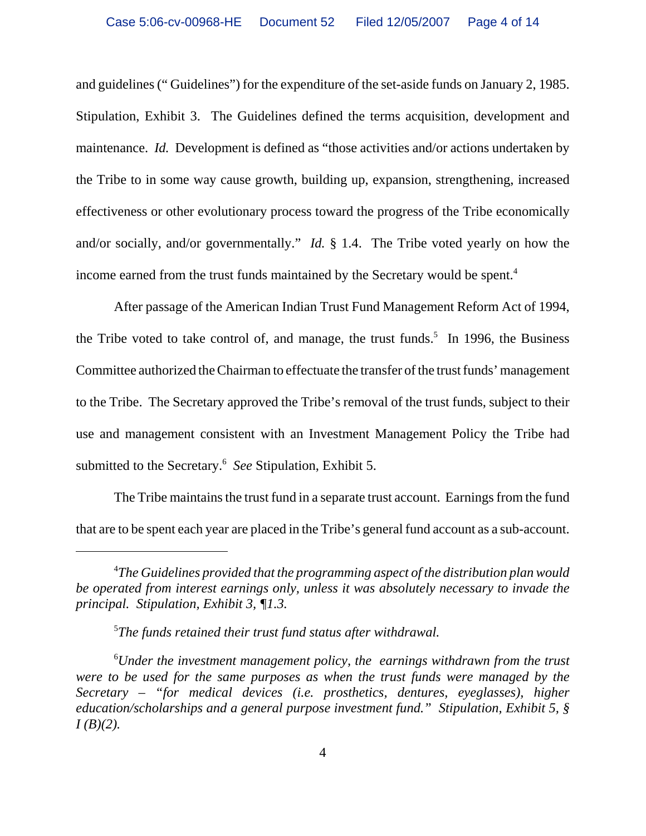and guidelines (" Guidelines") for the expenditure of the set-aside funds on January 2, 1985. Stipulation, Exhibit 3. The Guidelines defined the terms acquisition, development and maintenance. *Id.* Development is defined as "those activities and/or actions undertaken by the Tribe to in some way cause growth, building up, expansion, strengthening, increased effectiveness or other evolutionary process toward the progress of the Tribe economically and/or socially, and/or governmentally." *Id.* § 1.4. The Tribe voted yearly on how the income earned from the trust funds maintained by the Secretary would be spent.<sup>4</sup>

After passage of the American Indian Trust Fund Management Reform Act of 1994, the Tribe voted to take control of, and manage, the trust funds.<sup>5</sup> In 1996, the Business Committee authorized the Chairman to effectuate the transfer of the trust funds' management to the Tribe. The Secretary approved the Tribe's removal of the trust funds, subject to their use and management consistent with an Investment Management Policy the Tribe had submitted to the Secretary.<sup>6</sup> See Stipulation, Exhibit 5.

The Tribe maintains the trust fund in a separate trust account. Earnings from the fund that are to be spent each year are placed in the Tribe's general fund account as a sub-account.

<sup>4</sup> *The Guidelines provided that the programming aspect of the distribution plan would be operated from interest earnings only, unless it was absolutely necessary to invade the principal. Stipulation, Exhibit 3, ¶1.3.*

<sup>5</sup> *The funds retained their trust fund status after withdrawal.*

<sup>6</sup> *Under the investment management policy, the earnings withdrawn from the trust were to be used for the same purposes as when the trust funds were managed by the Secretary – "for medical devices (i.e. prosthetics, dentures, eyeglasses), higher education/scholarships and a general purpose investment fund." Stipulation, Exhibit 5, § I (B)(2).*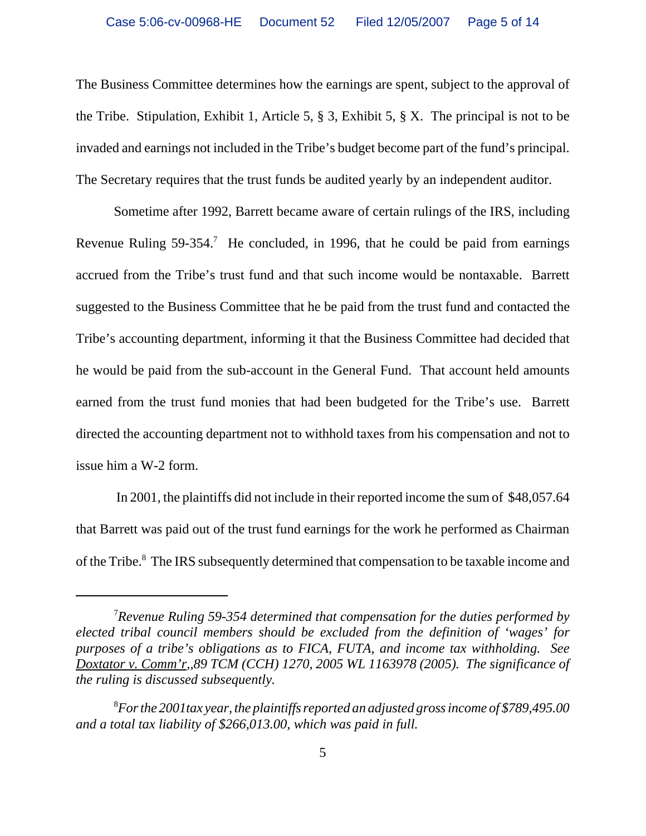The Business Committee determines how the earnings are spent, subject to the approval of the Tribe. Stipulation, Exhibit 1, Article 5,  $\S$  3, Exhibit 5,  $\S$  X. The principal is not to be invaded and earnings not included in the Tribe's budget become part of the fund's principal. The Secretary requires that the trust funds be audited yearly by an independent auditor.

Sometime after 1992, Barrett became aware of certain rulings of the IRS, including Revenue Ruling  $59-354$ .<sup>7</sup> He concluded, in 1996, that he could be paid from earnings accrued from the Tribe's trust fund and that such income would be nontaxable. Barrett suggested to the Business Committee that he be paid from the trust fund and contacted the Tribe's accounting department, informing it that the Business Committee had decided that he would be paid from the sub-account in the General Fund. That account held amounts earned from the trust fund monies that had been budgeted for the Tribe's use. Barrett directed the accounting department not to withhold taxes from his compensation and not to issue him a W-2 form.

 In 2001, the plaintiffs did not include in their reported income the sum of \$48,057.64 that Barrett was paid out of the trust fund earnings for the work he performed as Chairman of the Tribe.<sup>8</sup> The IRS subsequently determined that compensation to be taxable income and

<sup>7</sup> *Revenue Ruling 59-354 determined that compensation for the duties performed by elected tribal council members should be excluded from the definition of 'wages' for purposes of a tribe's obligations as to FICA, FUTA, and income tax withholding. See Doxtator v. Comm'r,,89 TCM (CCH) 1270, 2005 WL 1163978 (2005). The significance of the ruling is discussed subsequently.*

<sup>8</sup> *For the 2001tax year, the plaintiffs reported an adjusted gross income of \$789,495.00 and a total tax liability of \$266,013.00, which was paid in full.*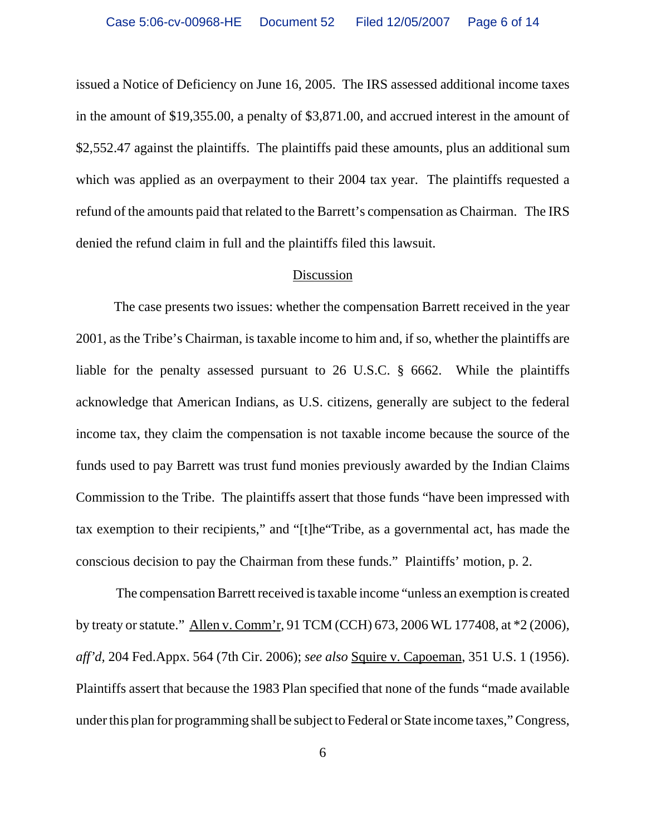issued a Notice of Deficiency on June 16, 2005. The IRS assessed additional income taxes in the amount of \$19,355.00, a penalty of \$3,871.00, and accrued interest in the amount of \$2,552.47 against the plaintiffs. The plaintiffs paid these amounts, plus an additional sum which was applied as an overpayment to their 2004 tax year. The plaintiffs requested a refund of the amounts paid that related to the Barrett's compensation as Chairman. The IRS denied the refund claim in full and the plaintiffs filed this lawsuit.

## Discussion

The case presents two issues: whether the compensation Barrett received in the year 2001, as the Tribe's Chairman, is taxable income to him and, if so, whether the plaintiffs are liable for the penalty assessed pursuant to 26 U.S.C. § 6662. While the plaintiffs acknowledge that American Indians, as U.S. citizens, generally are subject to the federal income tax, they claim the compensation is not taxable income because the source of the funds used to pay Barrett was trust fund monies previously awarded by the Indian Claims Commission to the Tribe. The plaintiffs assert that those funds "have been impressed with tax exemption to their recipients," and "[t]he"Tribe, as a governmental act, has made the conscious decision to pay the Chairman from these funds." Plaintiffs' motion, p. 2.

 The compensation Barrett received is taxable income "unless an exemption is created by treaty or statute." Allen v. Comm'r, 91 TCM (CCH) 673, 2006 WL 177408, at \*2 (2006), *aff'd,* 204 Fed.Appx. 564 (7th Cir. 2006); *see also* Squire v. Capoeman, 351 U.S. 1 (1956). Plaintiffs assert that because the 1983 Plan specified that none of the funds "made available under this plan for programming shall be subject to Federal or State income taxes," Congress,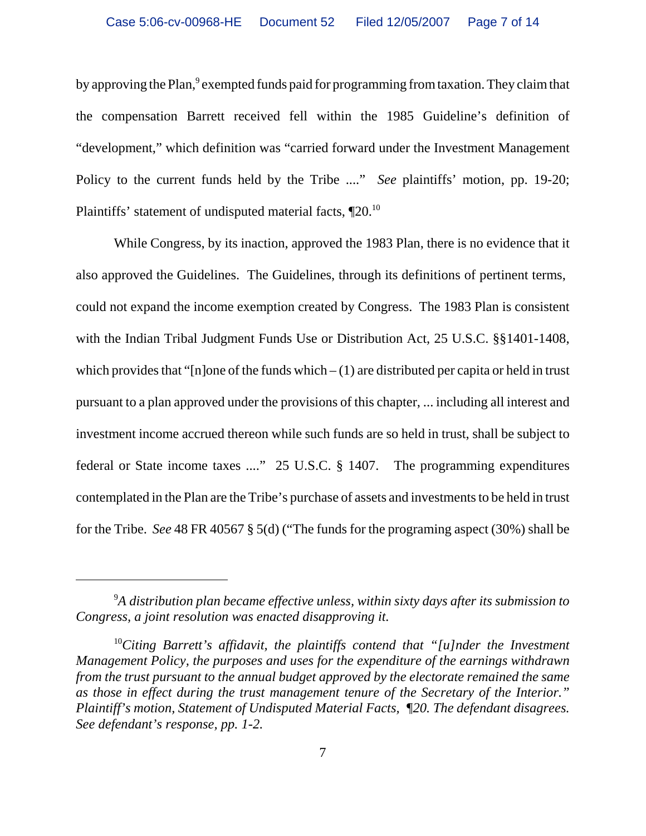by approving the Plan,<sup>9</sup> exempted funds paid for programming from taxation. They claim that the compensation Barrett received fell within the 1985 Guideline's definition of "development," which definition was "carried forward under the Investment Management Policy to the current funds held by the Tribe ...." *See* plaintiffs' motion, pp. 19-20; Plaintiffs' statement of undisputed material facts, ¶20.10

While Congress, by its inaction, approved the 1983 Plan, there is no evidence that it also approved the Guidelines. The Guidelines, through its definitions of pertinent terms, could not expand the income exemption created by Congress. The 1983 Plan is consistent with the Indian Tribal Judgment Funds Use or Distribution Act, 25 U.S.C. §§1401-1408, which provides that "[n]one of the funds which  $-(1)$  are distributed per capita or held in trust pursuant to a plan approved under the provisions of this chapter, ... including all interest and investment income accrued thereon while such funds are so held in trust, shall be subject to federal or State income taxes ...." 25 U.S.C. § 1407. The programming expenditures contemplated in the Plan are the Tribe's purchase of assets and investments to be held in trust for the Tribe. *See* 48 FR 40567 § 5(d) ("The funds for the programing aspect (30%) shall be

<sup>9</sup> *A distribution plan became effective unless, within sixty days after its submission to Congress, a joint resolution was enacted disapproving it.*

<sup>10</sup>*Citing Barrett's affidavit, the plaintiffs contend that "[u]nder the Investment Management Policy, the purposes and uses for the expenditure of the earnings withdrawn from the trust pursuant to the annual budget approved by the electorate remained the same as those in effect during the trust management tenure of the Secretary of the Interior." Plaintiff's motion, Statement of Undisputed Material Facts, ¶20. The defendant disagrees. See defendant's response, pp. 1-2.*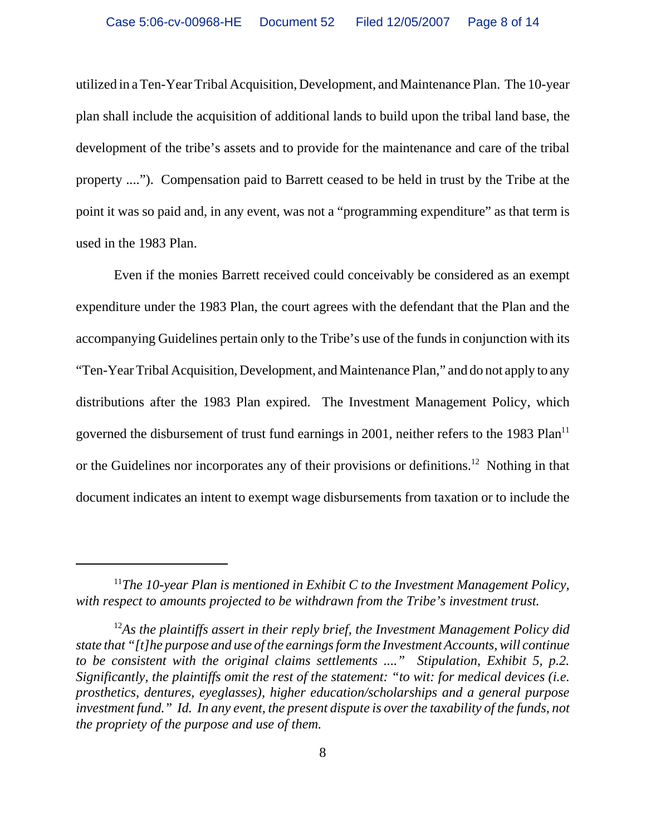utilized in a Ten-Year Tribal Acquisition, Development, and Maintenance Plan. The 10-year plan shall include the acquisition of additional lands to build upon the tribal land base, the development of the tribe's assets and to provide for the maintenance and care of the tribal property ...."). Compensation paid to Barrett ceased to be held in trust by the Tribe at the point it was so paid and, in any event, was not a "programming expenditure" as that term is used in the 1983 Plan.

Even if the monies Barrett received could conceivably be considered as an exempt expenditure under the 1983 Plan, the court agrees with the defendant that the Plan and the accompanying Guidelines pertain only to the Tribe's use of the funds in conjunction with its "Ten-Year Tribal Acquisition, Development, and Maintenance Plan," and do not apply to any distributions after the 1983 Plan expired. The Investment Management Policy, which governed the disbursement of trust fund earnings in 2001, neither refers to the 1983 Plan<sup>11</sup> or the Guidelines nor incorporates any of their provisions or definitions.<sup>12</sup> Nothing in that document indicates an intent to exempt wage disbursements from taxation or to include the

<sup>&</sup>lt;sup>11</sup>The 10-year Plan is mentioned in Exhibit C to the Investment Management Policy, *with respect to amounts projected to be withdrawn from the Tribe's investment trust.*

<sup>&</sup>lt;sup>12</sup>As the plaintiffs assert in their reply brief, the Investment Management Policy did *state that "[t]he purpose and use of the earnings form the Investment Accounts, will continue to be consistent with the original claims settlements ...." Stipulation, Exhibit 5, p.2. Significantly, the plaintiffs omit the rest of the statement: "to wit: for medical devices (i.e. prosthetics, dentures, eyeglasses), higher education/scholarships and a general purpose investment fund." Id. In any event, the present dispute is over the taxability of the funds, not the propriety of the purpose and use of them.*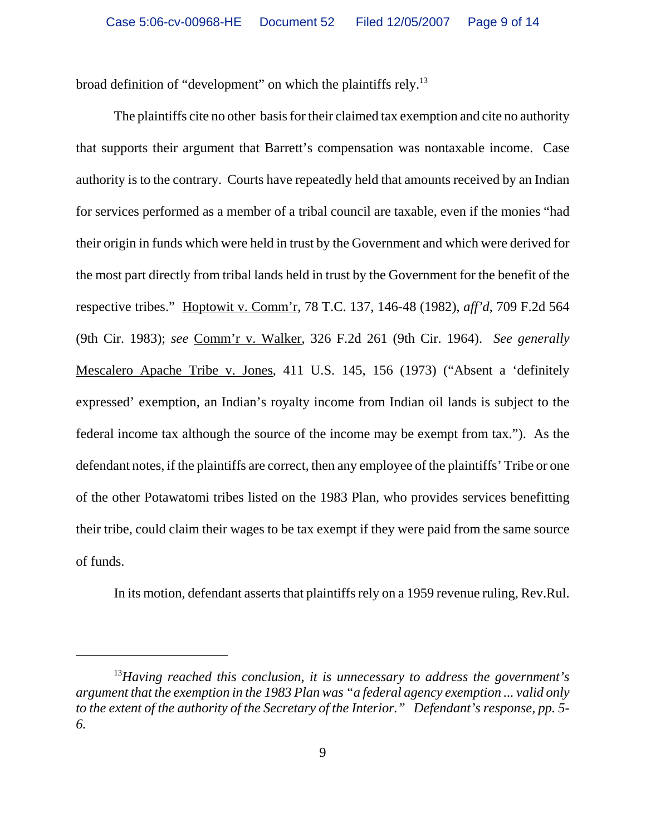broad definition of "development" on which the plaintiffs rely.13

The plaintiffs cite no other basis for their claimed tax exemption and cite no authority that supports their argument that Barrett's compensation was nontaxable income. Case authority is to the contrary. Courts have repeatedly held that amounts received by an Indian for services performed as a member of a tribal council are taxable, even if the monies "had their origin in funds which were held in trust by the Government and which were derived for the most part directly from tribal lands held in trust by the Government for the benefit of the respective tribes." Hoptowit v. Comm'r, 78 T.C. 137, 146-48 (1982), *aff'd*, 709 F.2d 564 (9th Cir. 1983); *see* Comm'r v. Walker, 326 F.2d 261 (9th Cir. 1964). *See generally* Mescalero Apache Tribe v. Jones, 411 U.S. 145, 156 (1973) ("Absent a 'definitely expressed' exemption, an Indian's royalty income from Indian oil lands is subject to the federal income tax although the source of the income may be exempt from tax."). As the defendant notes, if the plaintiffs are correct, then any employee of the plaintiffs' Tribe or one of the other Potawatomi tribes listed on the 1983 Plan, who provides services benefitting their tribe, could claim their wages to be tax exempt if they were paid from the same source of funds.

In its motion, defendant asserts that plaintiffs rely on a 1959 revenue ruling, Rev.Rul.

<sup>13</sup>*Having reached this conclusion, it is unnecessary to address the government's argument that the exemption in the 1983 Plan was "a federal agency exemption ... valid only to the extent of the authority of the Secretary of the Interior." Defendant's response, pp. 5- 6.*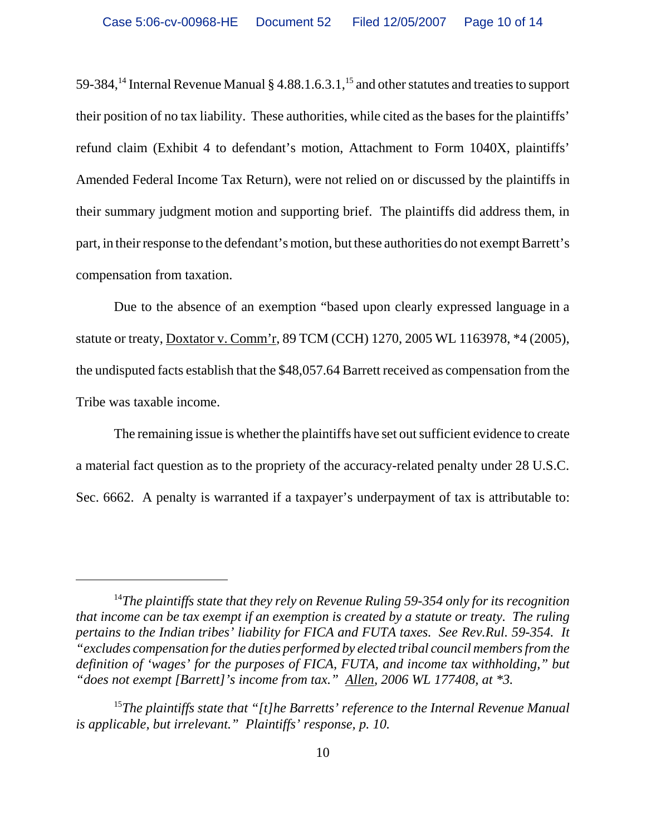59-384,<sup>14</sup> Internal Revenue Manual § 4.88.1.6.3.1,<sup>15</sup> and other statutes and treaties to support their position of no tax liability. These authorities, while cited as the bases for the plaintiffs' refund claim (Exhibit 4 to defendant's motion, Attachment to Form 1040X, plaintiffs' Amended Federal Income Tax Return), were not relied on or discussed by the plaintiffs in their summary judgment motion and supporting brief. The plaintiffs did address them, in part, in their response to the defendant's motion, but these authorities do not exempt Barrett's compensation from taxation.

 Due to the absence of an exemption "based upon clearly expressed language in a statute or treaty, Doxtator v. Comm'r, 89 TCM (CCH) 1270, 2005 WL 1163978, \*4 (2005), the undisputed facts establish that the \$48,057.64 Barrett received as compensation from the Tribe was taxable income.

The remaining issue is whether the plaintiffs have set out sufficient evidence to create a material fact question as to the propriety of the accuracy-related penalty under 28 U.S.C. Sec. 6662. A penalty is warranted if a taxpayer's underpayment of tax is attributable to:

<sup>14</sup>*The plaintiffs state that they rely on Revenue Ruling 59-354 only for its recognition that income can be tax exempt if an exemption is created by a statute or treaty. The ruling pertains to the Indian tribes' liability for FICA and FUTA taxes. See Rev.Rul. 59-354. It "excludes compensation for the duties performed by elected tribal council members from the definition of 'wages' for the purposes of FICA, FUTA, and income tax withholding," but "does not exempt [Barrett]'s income from tax." Allen, 2006 WL 177408, at \*3.*

<sup>&</sup>lt;sup>15</sup>The plaintiffs state that "[t]he Barretts' reference to the Internal Revenue Manual *is applicable, but irrelevant." Plaintiffs' response, p. 10.*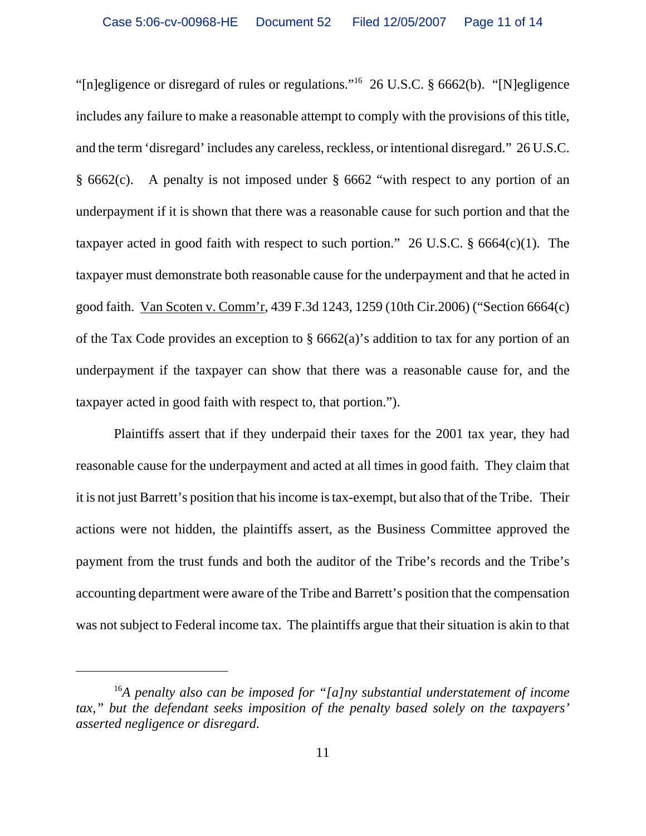"[n]egligence or disregard of rules or regulations."16 26 U.S.C. § 6662(b). "[N]egligence includes any failure to make a reasonable attempt to comply with the provisions of this title, and the term 'disregard' includes any careless, reckless, or intentional disregard." 26 U.S.C. § 6662(c). A penalty is not imposed under § 6662 "with respect to any portion of an underpayment if it is shown that there was a reasonable cause for such portion and that the taxpayer acted in good faith with respect to such portion." 26 U.S.C.  $\S$  6664(c)(1). The taxpayer must demonstrate both reasonable cause for the underpayment and that he acted in good faith. Van Scoten v. Comm'r, 439 F.3d 1243, 1259 (10th Cir.2006) ("Section 6664(c) of the Tax Code provides an exception to § 6662(a)'s addition to tax for any portion of an underpayment if the taxpayer can show that there was a reasonable cause for, and the taxpayer acted in good faith with respect to, that portion.").

Plaintiffs assert that if they underpaid their taxes for the 2001 tax year, they had reasonable cause for the underpayment and acted at all times in good faith. They claim that it is not just Barrett's position that his income is tax-exempt, but also that of the Tribe. Their actions were not hidden, the plaintiffs assert, as the Business Committee approved the payment from the trust funds and both the auditor of the Tribe's records and the Tribe's accounting department were aware of the Tribe and Barrett's position that the compensation was not subject to Federal income tax. The plaintiffs argue that their situation is akin to that

<sup>16</sup>*A penalty also can be imposed for "[a]ny substantial understatement of income tax," but the defendant seeks imposition of the penalty based solely on the taxpayers' asserted negligence or disregard.*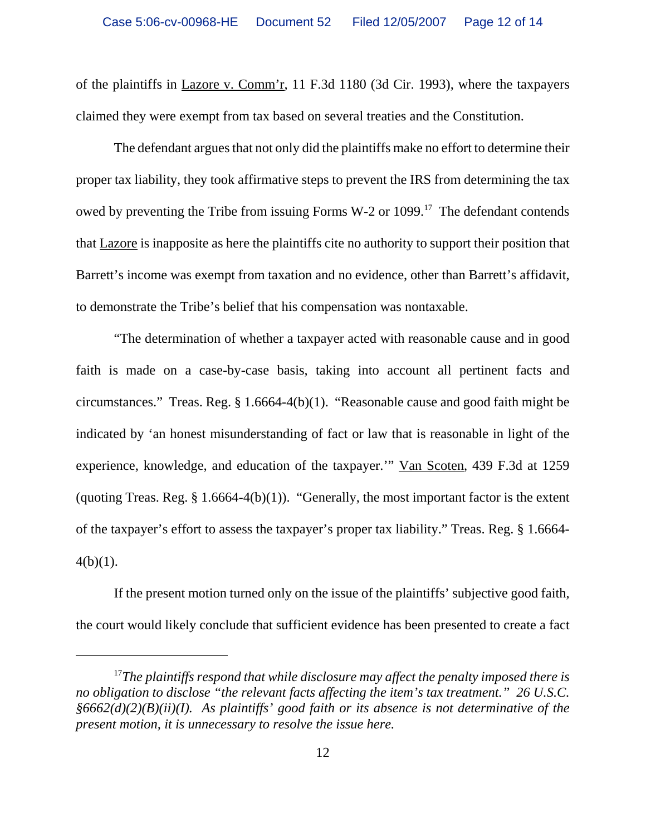of the plaintiffs in Lazore v. Comm'r, 11 F.3d 1180 (3d Cir. 1993), where the taxpayers claimed they were exempt from tax based on several treaties and the Constitution.

The defendant argues that not only did the plaintiffs make no effort to determine their proper tax liability, they took affirmative steps to prevent the IRS from determining the tax owed by preventing the Tribe from issuing Forms W-2 or 1099.17 The defendant contends that Lazore is inapposite as here the plaintiffs cite no authority to support their position that Barrett's income was exempt from taxation and no evidence, other than Barrett's affidavit, to demonstrate the Tribe's belief that his compensation was nontaxable.

"The determination of whether a taxpayer acted with reasonable cause and in good faith is made on a case-by-case basis, taking into account all pertinent facts and circumstances." Treas. Reg. § 1.6664-4(b)(1). "Reasonable cause and good faith might be indicated by 'an honest misunderstanding of fact or law that is reasonable in light of the experience, knowledge, and education of the taxpayer.'" Van Scoten, 439 F.3d at 1259 (quoting Treas. Reg.  $\S 1.6664-4(b)(1)$ ). "Generally, the most important factor is the extent of the taxpayer's effort to assess the taxpayer's proper tax liability." Treas. Reg. § 1.6664-  $4(b)(1)$ .

If the present motion turned only on the issue of the plaintiffs' subjective good faith, the court would likely conclude that sufficient evidence has been presented to create a fact

<sup>17</sup>*The plaintiffs respond that while disclosure may affect the penalty imposed there is no obligation to disclose "the relevant facts affecting the item's tax treatment." 26 U.S.C. §6662(d)(2)(B)(ii)(I). As plaintiffs' good faith or its absence is not determinative of the present motion, it is unnecessary to resolve the issue here.*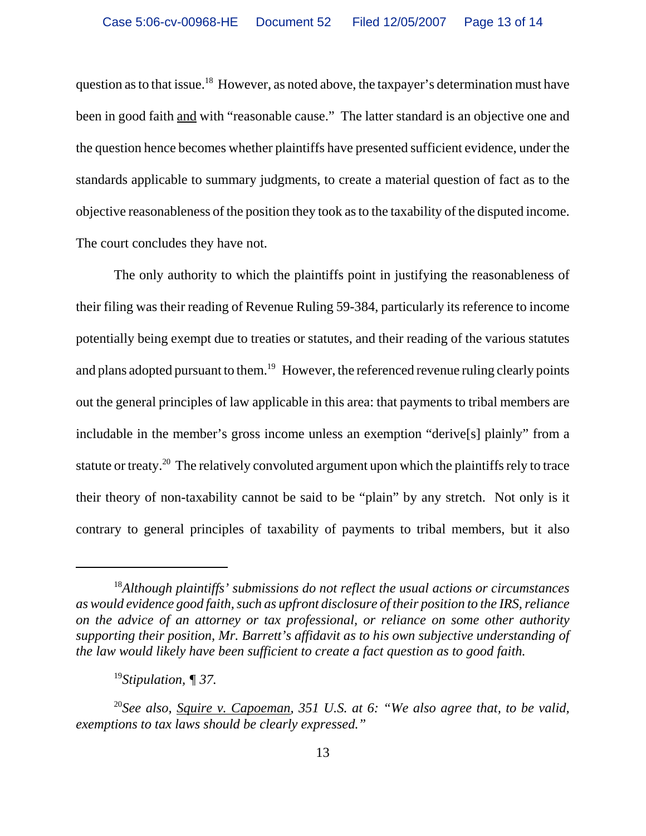question as to that issue.18 However, as noted above, the taxpayer's determination must have been in good faith and with "reasonable cause." The latter standard is an objective one and the question hence becomes whether plaintiffs have presented sufficient evidence, under the standards applicable to summary judgments, to create a material question of fact as to the objective reasonableness of the position they took as to the taxability of the disputed income. The court concludes they have not.

The only authority to which the plaintiffs point in justifying the reasonableness of their filing was their reading of Revenue Ruling 59-384, particularly its reference to income potentially being exempt due to treaties or statutes, and their reading of the various statutes and plans adopted pursuant to them.<sup>19</sup> However, the referenced revenue ruling clearly points out the general principles of law applicable in this area: that payments to tribal members are includable in the member's gross income unless an exemption "derive[s] plainly" from a statute or treaty.<sup>20</sup> The relatively convoluted argument upon which the plaintiffs rely to trace their theory of non-taxability cannot be said to be "plain" by any stretch. Not only is it contrary to general principles of taxability of payments to tribal members, but it also

<sup>18</sup>*Although plaintiffs' submissions do not reflect the usual actions or circumstances as would evidence good faith, such as upfront disclosure of their position to the IRS, reliance on the advice of an attorney or tax professional, or reliance on some other authority supporting their position, Mr. Barrett's affidavit as to his own subjective understanding of the law would likely have been sufficient to create a fact question as to good faith.*

<sup>19</sup>*Stipulation, ¶ 37.*

<sup>20</sup>*See also, Squire v. Capoeman, 351 U.S. at 6: "We also agree that, to be valid, exemptions to tax laws should be clearly expressed."*